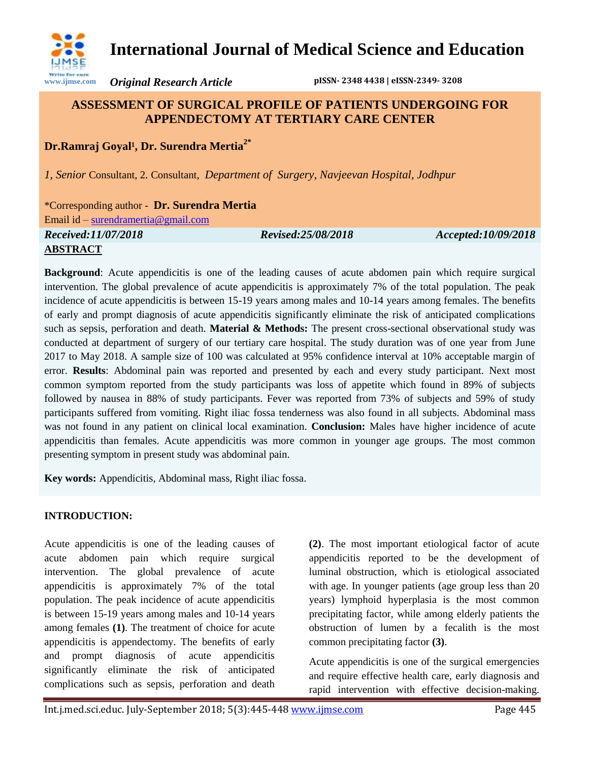

*Original Research Article* **pISSN- 2348 4438 | eISSN-2349- 3208**

# **ASSESSMENT OF SURGICAL PROFILE OF PATIENTS UNDERGOING FOR APPENDECTOMY AT TERTIARY CARE CENTER**

## **Dr.Ramraj** Goyal<sup>1</sup>, Dr. Surendra Mertia<sup>2\*</sup>

*1, Senior* Consultant, 2*.* Consultant, *Department of Surgery, Navjeevan Hospital, Jodhpur*

\*Corresponding author - **Dr. Surendra Mertia** 

Email id – [surendramertia@gmail.com](mailto:surendramertia@gmail.com)

*Received:11/07/2018 Revised:25/08/2018 Accepted:10/09/2018*

### **ABSTRACT**

**www.ijmse.com**

**Background**: Acute appendicitis is one of the leading causes of acute abdomen pain which require surgical intervention. The global prevalence of acute appendicitis is approximately 7% of the total population. The peak incidence of acute appendicitis is between 15-19 years among males and 10-14 years among females. The benefits of early and prompt diagnosis of acute appendicitis significantly eliminate the risk of anticipated complications such as sepsis, perforation and death. **Material & Methods:** The present cross-sectional observational study was conducted at department of surgery of our tertiary care hospital. The study duration was of one year from June 2017 to May 2018. A sample size of 100 was calculated at 95% confidence interval at 10% acceptable margin of error. **Results**: Abdominal pain was reported and presented by each and every study participant. Next most common symptom reported from the study participants was loss of appetite which found in 89% of subjects followed by nausea in 88% of study participants. Fever was reported from 73% of subjects and 59% of study participants suffered from vomiting. Right iliac fossa tenderness was also found in all subjects. Abdominal mass was not found in any patient on clinical local examination. **Conclusion:** Males have higher incidence of acute appendicitis than females. Acute appendicitis was more common in younger age groups. The most common presenting symptom in present study was abdominal pain.

**Key words:** Appendicitis, Abdominal mass, Right iliac fossa.

### **INTRODUCTION:**

Acute appendicitis is one of the leading causes of acute abdomen pain which require surgical intervention. The global prevalence of acute appendicitis is approximately 7% of the total population. The peak incidence of acute appendicitis is between 15-19 years among males and 10-14 years among females **(1)**. The treatment of choice for acute appendicitis is appendectomy. The benefits of early and prompt diagnosis of acute appendicitis significantly eliminate the risk of anticipated complications such as sepsis, perforation and death **(2)**. The most important etiological factor of acute appendicitis reported to be the development of luminal obstruction, which is etiological associated with age. In younger patients (age group less than 20 years) lymphoid hyperplasia is the most common precipitating factor, while among elderly patients the obstruction of lumen by a fecalith is the most common precipitating factor **(3)**.

Acute appendicitis is one of the surgical emergencies and require effective health care, early diagnosis and rapid intervention with effective decision-making.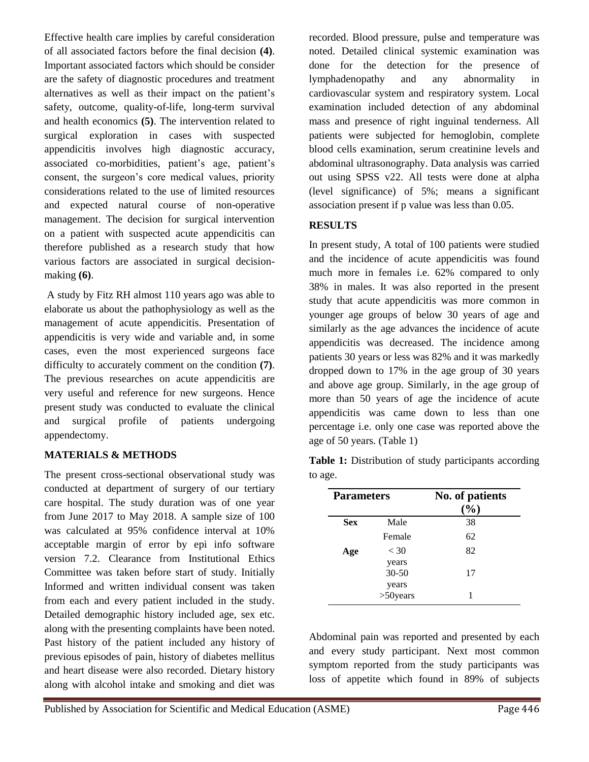Effective health care implies by careful consideration of all associated factors before the final decision **(4)**. Important associated factors which should be consider are the safety of diagnostic procedures and treatment alternatives as well as their impact on the patient's safety, outcome, quality-of-life, long-term survival and health economics **(5)**. The intervention related to surgical exploration in cases with suspected appendicitis involves high diagnostic accuracy, associated co-morbidities, patient's age, patient's consent, the surgeon's core medical values, priority considerations related to the use of limited resources and expected natural course of non-operative management. The decision for surgical intervention on a patient with suspected acute appendicitis can therefore published as a research study that how various factors are associated in surgical decisionmaking **(6)**.

A study by Fitz RH almost 110 years ago was able to elaborate us about the pathophysiology as well as the management of acute appendicitis. Presentation of appendicitis is very wide and variable and, in some cases, even the most experienced surgeons face difficulty to accurately comment on the condition **(7)**. The previous researches on acute appendicitis are very useful and reference for new surgeons. Hence present study was conducted to evaluate the clinical and surgical profile of patients undergoing appendectomy.

### **MATERIALS & METHODS**

The present cross-sectional observational study was conducted at department of surgery of our tertiary care hospital. The study duration was of one year from June 2017 to May 2018. A sample size of 100 was calculated at 95% confidence interval at 10% acceptable margin of error by epi info software version 7.2. Clearance from Institutional Ethics Committee was taken before start of study. Initially Informed and written individual consent was taken from each and every patient included in the study. Detailed demographic history included age, sex etc. along with the presenting complaints have been noted. Past history of the patient included any history of previous episodes of pain, history of diabetes mellitus and heart disease were also recorded. Dietary history along with alcohol intake and smoking and diet was

recorded. Blood pressure, pulse and temperature was noted. Detailed clinical systemic examination was done for the detection for the presence of lymphadenopathy and any abnormality in cardiovascular system and respiratory system. Local examination included detection of any abdominal mass and presence of right inguinal tenderness. All patients were subjected for hemoglobin, complete blood cells examination, serum creatinine levels and abdominal ultrasonography. Data analysis was carried out using SPSS v22. All tests were done at alpha (level significance) of 5%; means a significant association present if p value was less than 0.05.

#### **RESULTS**

In present study, A total of 100 patients were studied and the incidence of acute appendicitis was found much more in females i.e. 62% compared to only 38% in males. It was also reported in the present study that acute appendicitis was more common in younger age groups of below 30 years of age and similarly as the age advances the incidence of acute appendicitis was decreased. The incidence among patients 30 years or less was 82% and it was markedly dropped down to 17% in the age group of 30 years and above age group. Similarly, in the age group of more than 50 years of age the incidence of acute appendicitis was came down to less than one percentage i.e. only one case was reported above the age of 50 years. (Table 1)

|         | <b>Table 1:</b> Distribution of study participants according |  |  |
|---------|--------------------------------------------------------------|--|--|
| to age. |                                                              |  |  |

| <b>Parameters</b> |                      | No. of patients<br>$(\%)$ |  |
|-------------------|----------------------|---------------------------|--|
| <b>Sex</b>        | Male                 | 38                        |  |
|                   | Female               | 62                        |  |
| Age               | < 30<br>years        | 82                        |  |
|                   | 30-50                | 17                        |  |
|                   | years<br>$>50$ years |                           |  |

Abdominal pain was reported and presented by each and every study participant. Next most common symptom reported from the study participants was loss of appetite which found in 89% of subjects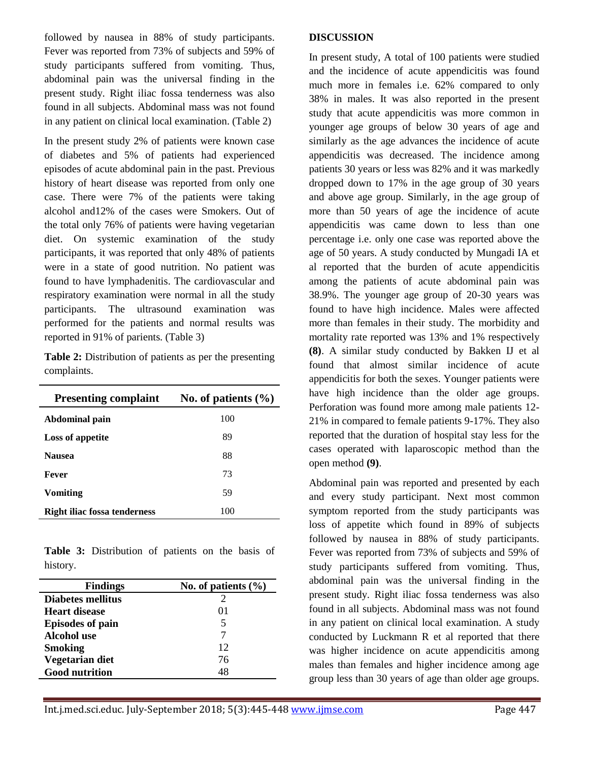followed by nausea in 88% of study participants. Fever was reported from 73% of subjects and 59% of study participants suffered from vomiting. Thus, abdominal pain was the universal finding in the present study. Right iliac fossa tenderness was also found in all subjects. Abdominal mass was not found in any patient on clinical local examination. (Table 2)

In the present study 2% of patients were known case of diabetes and 5% of patients had experienced episodes of acute abdominal pain in the past. Previous history of heart disease was reported from only one case. There were 7% of the patients were taking alcohol and12% of the cases were Smokers. Out of the total only 76% of patients were having vegetarian diet. On systemic examination of the study participants, it was reported that only 48% of patients were in a state of good nutrition. No patient was found to have lymphadenitis. The cardiovascular and respiratory examination were normal in all the study participants. The ultrasound examination was performed for the patients and normal results was reported in 91% of parients. (Table 3)

**Table 2:** Distribution of patients as per the presenting complaints.

| <b>Presenting complaint</b>  | No. of patients $(\% )$ |
|------------------------------|-------------------------|
| Abdominal pain               | 100                     |
| Loss of appetite             | 89                      |
| <b>Nausea</b>                | 88                      |
| Fever                        | 73                      |
| <b>Vomiting</b>              | 59                      |
| Right iliac fossa tenderness | 100                     |

**Table 3:** Distribution of patients on the basis of history.

| <b>Findings</b>         | No. of patients $(\% )$ |  |
|-------------------------|-------------------------|--|
| Diabetes mellitus       |                         |  |
| Heart disease           | $^{O1}$                 |  |
| <b>Episodes of pain</b> | 5                       |  |
| Alcohol use             |                         |  |
| <b>Smoking</b>          | 12                      |  |
| Vegetarian diet         | 76                      |  |
| <b>Good nutrition</b>   | 48                      |  |

#### **DISCUSSION**

In present study, A total of 100 patients were studied and the incidence of acute appendicitis was found much more in females i.e. 62% compared to only 38% in males. It was also reported in the present study that acute appendicitis was more common in younger age groups of below 30 years of age and similarly as the age advances the incidence of acute appendicitis was decreased. The incidence among patients 30 years or less was 82% and it was markedly dropped down to 17% in the age group of 30 years and above age group. Similarly, in the age group of more than 50 years of age the incidence of acute appendicitis was came down to less than one percentage i.e. only one case was reported above the age of 50 years. A study conducted by Mungadi IA et al reported that the burden of acute appendicitis among the patients of acute abdominal pain was 38.9%. The younger age group of 20-30 years was found to have high incidence. Males were affected more than females in their study. The morbidity and mortality rate reported was 13% and 1% respectively **(8)**. A similar study conducted by Bakken IJ et al found that almost similar incidence of acute appendicitis for both the sexes. Younger patients were have high incidence than the older age groups. Perforation was found more among male patients 12- 21% in compared to female patients 9-17%. They also reported that the duration of hospital stay less for the cases operated with laparoscopic method than the open method **(9)**.

Abdominal pain was reported and presented by each and every study participant. Next most common symptom reported from the study participants was loss of appetite which found in 89% of subjects followed by nausea in 88% of study participants. Fever was reported from 73% of subjects and 59% of study participants suffered from vomiting. Thus, abdominal pain was the universal finding in the present study. Right iliac fossa tenderness was also found in all subjects. Abdominal mass was not found in any patient on clinical local examination. A study conducted by Luckmann R et al reported that there was higher incidence on acute appendicitis among males than females and higher incidence among age group less than 30 years of age than older age groups.